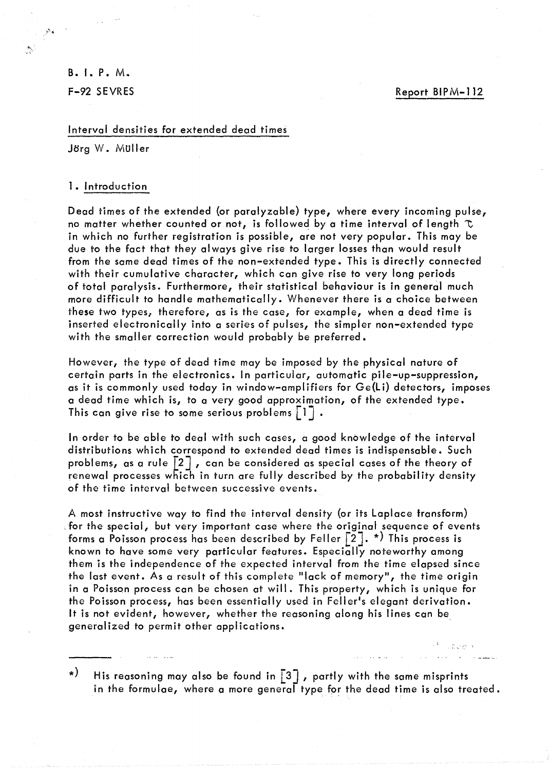S.I.P.M. F-92 SEVRES

 $\frac{\mu_{\text{N}}}{\sigma_{\text{N}}}$ 

 $\mathcal{H}_{\mathcal{G}}$ 

## Interval densities for extended dead times

Jörg W. Müller

#### 1. Introduction

Dead times of the extended (or paralyzable) type, where every incoming pulse, no matter whether counted or not, is followed by a time interval of length  $\tau$ in which no further registration is possible, are not very popular. This may be due to the fact that they always give rise to larger losses than would result from the same dead times of the non-extended type. This is directly connected with their cumulative character, which can give rise to very long periods of total paralysis. Furthermore, their statistical behaviour is in general much more difficult to handle mathematically. Whenever there is a choice between these two types, therefore, as is the case, for example, when a dead time is inserted electronically into a series of pulses, the simpler non-extended type with the smaller correction would probably be preferred.

However, the type of dead time may be imposed by the physical nature of certain parts in the electronics. In particular, automatic pile-up-suppression, as it is commonly used today in window-amplifiers for Ge(li) detectors, imposes a dead time which is, to a very good approximation, of the extended type. This can give rise to some serious problems  $\lceil 1 \rceil$ .

In order to be able to deal with such cases, a good knowledge of the interval distributions which correspond to extended dead times is indispensable. Such problems, as a rule  $\lceil 2 \rceil$ , can be considered as special cases of the theory of renewal processes which in turn are fully described by the probability density of the time interval between successive events.

A most instructive way to find the interval density (or its Laplace transform) ,for the special, but very important case where the original sequence of events forms a Poisson process has been described by Feller  $\lceil 2 \rceil$ . \*) This process is known to have some very particular features. Especially noteworthy among them is the independence of the expected interval from the time elapsed since the last event. As a result of this complete "lack of memory", the time origin in a Poisson process can be chosen at will. This property, which is unique for the Poisson process, has been essentially used in Feller's elegant derivation. It is not evident, however, whether the reasoning along his lines can be generalized to permit other applications.

\*) His reasoning may also be found in  $\lceil 3 \rceil$  , partly with the same misprints in the formulae, where a more general type for the dead time is also treated.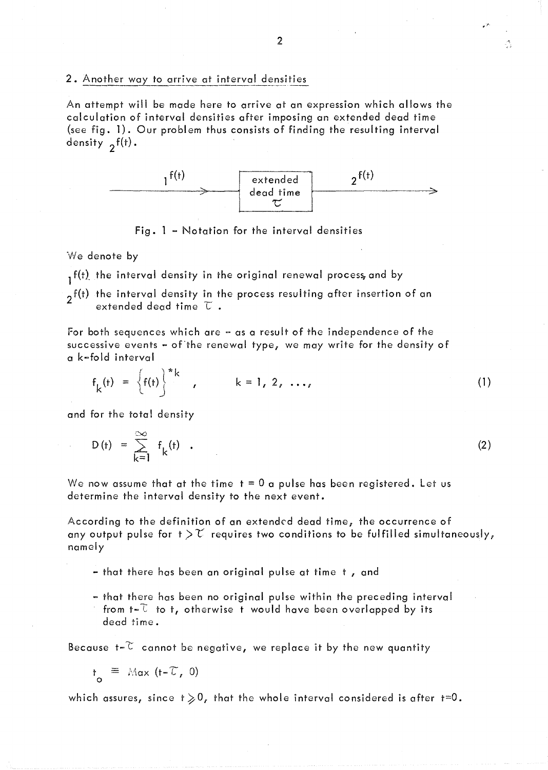2. Another way to arrive at interval densities

An attempt will be made here to arrive at an expression which allows the calculation of interval densities after imposing an extended dead time (see fig. 1). Our problem thus consists of finding the resulting interval density  $2^{f(t)}$ .



Fig.  $l$  – Notation for the interval densities

We denote by

 $_1$  f(t) the interval density in the original renewal process, and by

 $2^{f(t)}$  the interval density in the process resulting after insertion of an extended dead time  $\tau$ .

For both sequences which are  $-$  as a result of the independence of the successive events - of the renewal type, we may write for the density of a k~fold interval

$$
f_k(t) = \left\{f(t)\right\}^*k, \qquad k = 1, 2, ..., \qquad (1)
$$

and for the total density

$$
D(t) = \sum_{k=1}^{\infty} f_k(t) \quad . \tag{2}
$$

We now assume that at the time  $t = 0$  a pulse has been registered. Let us determine the interval density to the next event.

According to the definition of an extended dead time, the occurrence of any output pulse for  $t > \mathcal{U}$  requires two conditions to be fulfilled simultaneously, namely

- that there has been an original pulse at time t , and

<sup>~</sup>that there has been no original pulse within the preceding interval from  $t-\bar{t}$  to  $t$ , otherwise t would have been overlapped by its dead time.

Because t- $\mathbb C$  cannot be negative, we replace it by the new quantity

$$
t_{\circ} \equiv \text{Max } (t - \mathcal{T}, 0)
$$

which assures, since  $t \geq 0$ , that the whole interval considered is after  $t=0$ .

Å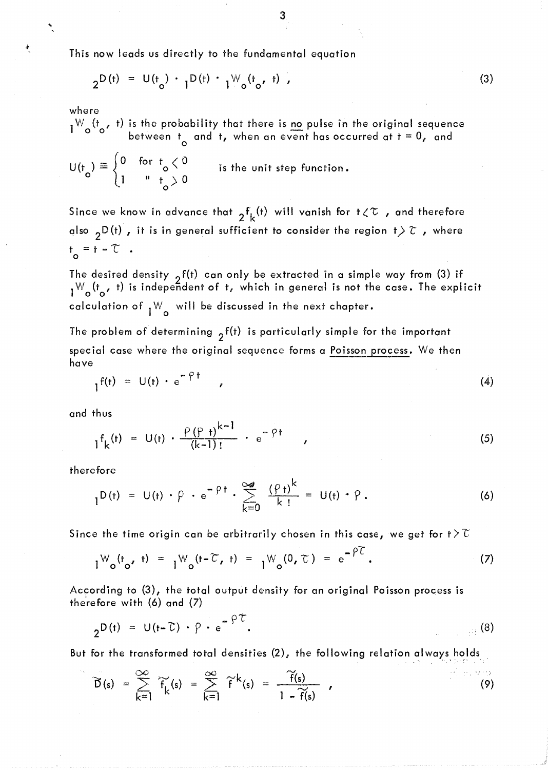This now leads us directly to the fundamental equation

$$
2^{D(t)} = U(t_o) \cdot 1^{D(t)} \cdot 1^{W_o(t_o, t)}.
$$

where

爽

l W<sub>o</sub>( $t_o$ , t) is the probability that there is <u>no</u> pulse in the original sequence between  $t_o$  and t, when an event has occurred at t = 0, and

$$
U(t_o) \equiv \begin{cases} 0 & \text{for } t_o < 0 \\ 1 & u_{o} > 0 \end{cases}
$$
 is the unit step function.

Since we know in advance that  ${}_{2}f_{k}(t)$  will vanish for  $t\angle\mathcal{T}$  , and therefore also <sub>2</sub>D(t), it is in general sufficient to consider the region  $t \geq \tau$ , where  $t^{\prime}$  =  $t - \tau$  .

The desired density  $\, \gamma \, {\sf f}({\sf t}) \,$  can only be extracted in a simple way from (3) if  $\frac{1}{2}$  ( $\frac{1}{2}$  ( $\frac{1}{2}$ ) is independent of t, which in general is not the case. The explicit calculation of  $1^{\mathsf{W}}$  will be discussed in the next chapter.

The problem of determining  $2^{f(t)}$  is particularly simple for the important special case where the original sequence forms a Poisson process. We then have

$$
I_1f(t) = U(t) \cdot e^{-\gamma t} \qquad (4)
$$

and thus

$$
{}_{1}f_{k}(t) = U(t) \cdot \frac{\rho(\rho_{t})^{k-1}}{(k-1)!} \cdot e^{-\rho t} \qquad (5)
$$

therefore

$$
I^{D(t)} = U(t) \cdot \rho \cdot e^{-\rho t} \cdot \sum_{k=0}^{\infty} \frac{(\rho_t)^k}{k!} = U(t) \cdot \rho.
$$
 (6)

Since the time origin can be arbitrarily chosen in this case, we get for  $t > T$ 

$$
1^{W} o^{(t} o^{t}) = 1^{W} o^{(t - \widetilde{C}, t)} = 1^{W} o^{(0, \widetilde{C})} = e^{-\widetilde{P} \widetilde{C}}.
$$
 (7)

According to (3), the total output density for an original Poisson process is therefore with (6) and (7)

$$
2^{D(t)} = U(t-\tilde{c}) \cdot \rho \cdot e^{-\rho \tilde{c}}.
$$
 (8)

But for the transformed total densities  $(2)$ , the following relation always holds ...

$$
\widetilde{D}(s) = \sum_{k=1}^{\infty} \widetilde{f}_k(s) = \sum_{k=1}^{\infty} \widetilde{f}^k(s) = \frac{\widetilde{f}(s)}{1 - \widetilde{f}(s)}, \qquad (9)
$$

(3)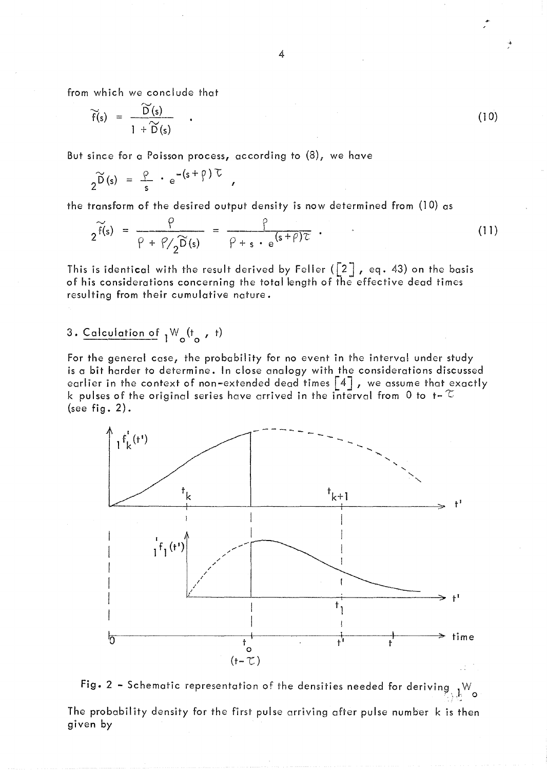from which we conclude that

$$
\widetilde{f}(s) = \frac{\widetilde{D}(s)}{1 + \widetilde{D}(s)} \qquad . \tag{10}
$$

But since for a Poisson process, according to  $(8)$ , we have

$$
2^{\widetilde{D}(s)} = \frac{\rho}{s} \cdot e^{-(s+\rho) \tau} ,
$$

the transform of the desired output density is now determined from (10) as  
\n
$$
2^{\widetilde{f}(s)} = \frac{\rho}{\rho + \rho/2^{\widetilde{D}(s)}} = \frac{\rho}{\rho + s \cdot e^{(s+\rho)\tau}}.
$$
\n(11)

This is identical with the result derived by Feller ( $\begin{bmatrix} 2 \end{bmatrix}$ , eq. 43) on the basis of his considerations concerning the total length of the effective dead times resulting from their cumulative nature.

# 3. Calculation of  $1^{W}o^{(t}$  , t)

For the general case, the probability for no event in the interval under study is a bit harder to determine. In close analogy with the considerations discussed earlier in the context of non-extended dead times [4J *r* we assume that exactly k pulses of the original series have arrived in the interval from 0 to t–  $\infty$ (see fig.  $2$ ).



Fig. 2 - Schematic representation of the densities needed for deriving  $\mathbf{w}^{\mathbf{W}}$  o The probability density for the first pulse arriving after pulse number k is then given by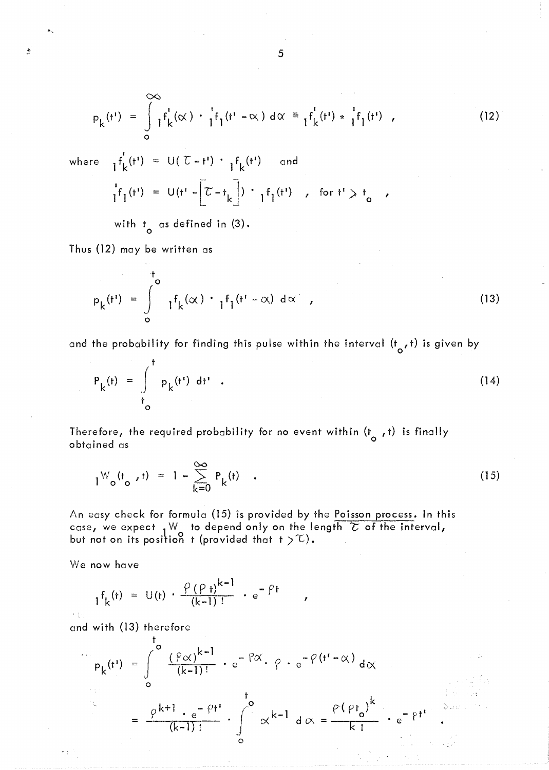$$
p_{k}(t^{1}) = \int_{0}^{\infty} 1^{f_{k}^{1}}(\alpha) \cdot \frac{1}{1}f_{1}(t^{1} - \alpha) d\alpha = \frac{1}{1}f_{k}^{1}(t^{1}) \cdot \frac{1}{1}f_{1}(t^{1}) \quad , \tag{12}
$$

 $\frac{1}{\sqrt{2}}$ 

where 
$$
I^{f'}_{k}(t^{i}) = U(\mathcal{L} - t^{i}) \cdot I^{f}_{k}(t^{i}) \text{ and}
$$

$$
I^{f}(t^{i}) = U(t^{i} - \mathcal{L} - t_{k}) \cdot I^{f}(t^{i}) \text{ for } t^{i} \geq t_{0} ,
$$

with  $t_0$  as defined in (3).

Thus (12) may be written as

$$
P_k(t^{\dagger}) = \int_{0}^{t_0} \gamma f_k(\alpha) \cdot \gamma f_1(t^{\dagger} - \alpha) d\alpha , \qquad (13)
$$

and the probability for finding this pulse within the interval (t<sub>o</sub>,t) is given by

$$
P_{k}(t) = \int_{t_{0}}^{t} P_{k}(t^{t}) dt^{t} . \qquad (14)
$$

Therefore, the required probability for no event within (t *,t)* is finally obtained as <sup>0</sup>

$$
1^{W} o^{(t} o, t) = 1 - \sum_{k=0}^{\infty} P_k(t) \quad . \tag{15}
$$

An easy check for formula (15) is provided by the Poisson process. In this case, we expect  ${}_1\mathbb{W}_{\_}$  to depend only on the length  $\overline{\mathcal{C}}$  of the interval, but not on its position  $\,$  t (provided that  $\,$  t  $\,>\,$   $\mathbb{C}$  ).

We now have

 $\sim$   $\pm$ 

$$
I^{f}_{k}(t) = U(t) \cdot \frac{\rho(\rho_{t})^{k-1}}{(k-1)!} \cdot e^{-\rho t} ,
$$

and with (13) therefore

$$
P_{k}(t^{1}) = \int_{0}^{t_{0}} \frac{(\rho \alpha)^{k-1}}{(k-1)!} \cdot e^{-\rho \alpha} \cdot \rho \cdot e^{-\rho (t^{1} - \alpha)} d\alpha
$$

$$
= \frac{\rho^{k+1} \cdot e^{-\rho t^{1}}}{(k-1)!} \cdot \int_{0}^{t_{0}} \alpha^{k-1} d\alpha = \frac{\rho (\rho t_{0})^{k}}{k!} \cdot e^{-\rho t^{1}}.
$$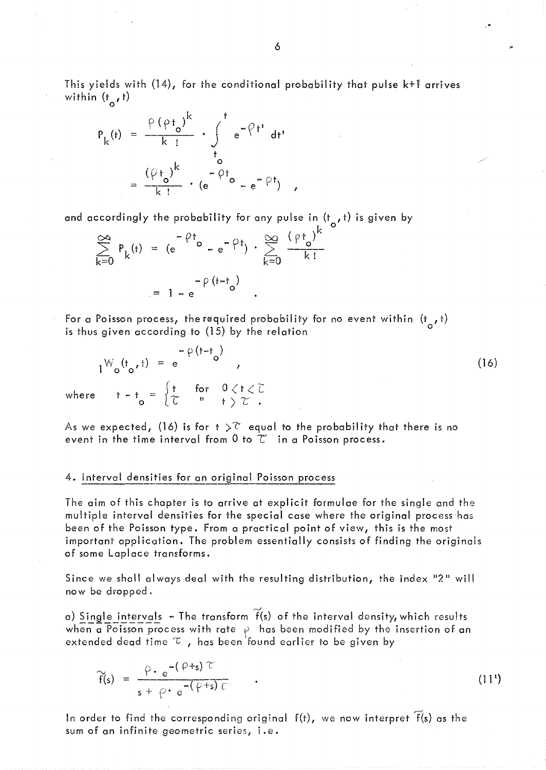This yields with  $(14)$ , for the conditional probability that pulse  $k+1$  arrives within (t<sub>o</sub>,t)

$$
P_{k}(t) = \frac{\rho (\rho t_{o})^{k}}{k!} \cdot \int_{t_{o}}^{t} e^{-\rho t} dt
$$

$$
= \frac{(\rho t_{o})^{k}}{k!} \cdot (e^{-\rho t_{o}} - e^{-\rho t}) ,
$$

and accordingly the probability for any pulse in  $(t, t)$  is given by

$$
\sum_{k=0}^{\infty} P_k(t) = (e^{-\rho t} \circ -e^{-\rho t}) \cdot \sum_{k=0}^{\infty} \frac{(\rho t_0)^k}{k!}
$$

$$
= 1 - e^{-\rho (t - t_0)}
$$

For a Poisson process, the required probability for no event within  $(t, t)$ is thus given according to  $(15)$  by the relation

$$
1^{W}o^{(t}o^{t}) = e^{-\rho(t-t_{o})}
$$
\nwhere  $t-t_{o} = \begin{cases} t & \text{for } 0 \leq t \leq \tilde{L} \\ \tilde{L} & \text{if } t > \tilde{L} \end{cases}$  (16)

As we expected, (16) is for  $t > \tilde{c}$  equal to the probability that there is no event in the time interval from  $0$  to  $\widetilde{C}$  in a Poisson process.

#### 4. interval densities for an original Poisson process

The aim of this chapter is to arrive at explicit formulae for the single and the multiple interval densities for the special case where the original process has been of the Poisson type. From a practical point of view, this is the most important application. The problem essentially consists of finding the originals of some Laplace transforms.

Since we shall always deal with the resulting distribution, the index "2" will now be dropped.

a) Single intervals – The transform  $\widetilde{\mathsf{f}}(\mathsf{s})$  of the interval density, which results when a Poisson process with rate  $\,\varphi\,$  has been modified by the insertion of an extended dead time  $\tau$ , has been found earlier to be given by

$$
\widetilde{f}(s) = \frac{\rho \cdot e^{-\left(\rho + s\right) \widetilde{L}}}{s + \rho \cdot e^{-\left(\rho + s\right) \widetilde{L}}}
$$
 (11')

In order to find the corresponding original  $\,$  f(t), we now interpret  $\,\widetilde{f}($ s) as the sum of an infinite geometric series, i.e.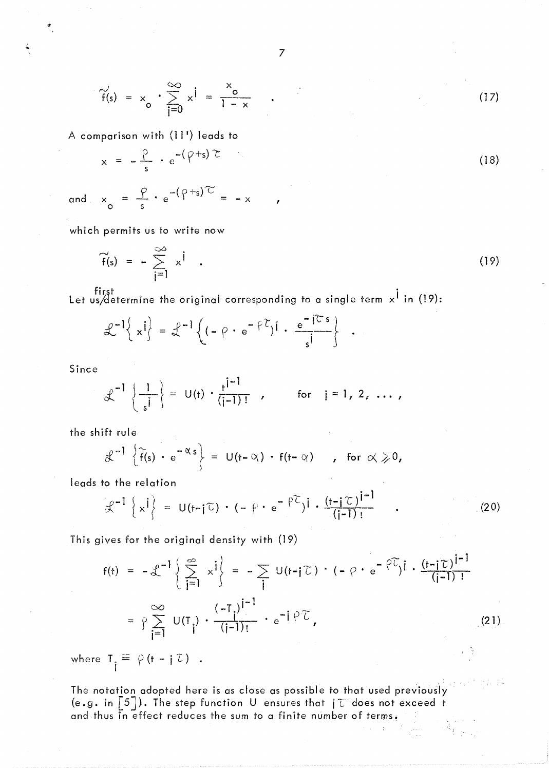$$
\widetilde{f}(s) = x_o \cdot \sum_{i=0}^{\infty} x^i = \frac{x_o}{1-x} \qquad (17)
$$

A comparison with (11') leads to

$$
x = -\frac{\rho}{s} \cdot e^{-(\rho+s)\tau}
$$
 (18)

and  $x_0 = \frac{y}{s} \cdot e^{-(y+s)/2} = -x$ ,

which permits us to write now

$$
\widetilde{f}(s) = -\sum_{j=1}^{\infty} x^{j} . \qquad (19)
$$

first ' Let us/determine the original corresponding to a single term  $\mathsf{x}^{\mathsf{T}}$  in (19):

$$
\mathcal{L}^{-1}\left\{ x^{j} \right\} = \mathcal{L}^{-1}\left\{ (-\rho \cdot e^{-\beta \mathcal{L}})^{j} \cdot \frac{e^{-j\mathcal{L}s}}{s^{j}} \right\} \quad .
$$

Since

$$
\mathcal{L}^{-1}\left\{\frac{1}{s^{j}}\right\} = U(t) \cdot \frac{t^{j-1}}{(j-1)!}, \quad \text{for} \quad j = 1, 2, ...,
$$

the shift rule

$$
\mathcal{L}^{-1}\left\{\widetilde{f}(s)\cdot e^{-\alpha s}\right\} = U(t-\alpha)\cdot f(t-\alpha) \quad , \text{ for } \alpha \geqslant 0,
$$

leads to the relation

o the relation  

$$
\mathcal{L}^{-1}\left\{x^{j}\right\} = U\left(t-j\tilde{L}\right) \cdot (-\rho \cdot e^{-\rho \tilde{L}})^{j} \cdot \frac{\left(t-j\tilde{L}\right)^{j-1}}{\left(j-1\right)!}
$$
(20)

This gives for the original density with (19)

$$
f(t) = -2^{-1} \left\{ \sum_{j=1}^{\infty} x^{j} \right\} = -\sum_{j} U(t-j\tilde{L}) \cdot (-\rho \cdot e^{-\tilde{L}})^{j} \cdot \frac{(t-j\tilde{L})^{j-1}}{(j-1)!}
$$
  

$$
= \rho \sum_{j=1}^{\infty} U(T_{j}) \cdot \frac{(-T_{j})^{j-1}}{(j-1)!} \cdot e^{-j\tilde{L}}.
$$
 (21)

where  $T_i \equiv \rho (t - i \tau)$ .

The notation adopted here is as close as possible to that used previously (e.g. in  $\lceil 5 \rceil$ ). The step function U ensures that  $\lceil \tau \rceil$  does not exceed t and thus in effect reduces the sum to a finite number of terms.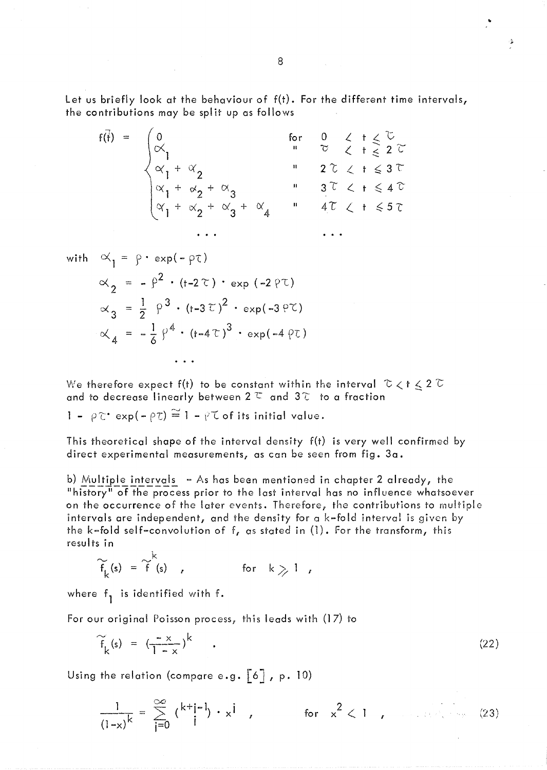Let us briefly look at the behaviour of f(t). For the different time intervals, the contributions may be split up as follows

$$
f(\overline{t}) = \begin{cases} 0 & \text{for } 0 \leq t \leq \mathbb{C} \\ \alpha_1 & \alpha_2 & \text{if } 2 \leq t \leq 2 \\ \alpha_1 + \alpha_2 & \text{if } 2 \leq t \leq 3 \\ \alpha_1 + \alpha_2 + \alpha_3 & \text{if } 3 \leq t \leq 4 \\ \alpha_1 + \alpha_2 + \alpha_3 + \alpha_4 & \text{if } 4 \in \mathbb{C} \quad t \leq 5 \end{cases}
$$

with 
$$
\alpha_1 = \rho \cdot \exp(-\rho \tau)
$$
  
\n
$$
\alpha_2 = -\rho^2 \cdot (t - 2\tau) \cdot \exp(-2\rho \tau)
$$
\n
$$
\alpha_3 = \frac{1}{2} \rho^3 \cdot (t - 3\tau)^2 \cdot \exp(-3\rho \tau)
$$
\n
$$
\alpha_4 = -\frac{1}{6} \rho^4 \cdot (t - 4\tau)^3 \cdot \exp(-4\rho \tau)
$$

We therefore expect f(t) to be constant within the interval  $\tau$   $t \leq 2$   $\tau$ and to decrease linearly between  $2^\tau$  and  $3^\tau$  to a fraction

$$
1 - \rho \tilde{c}^* \exp(-\rho \tilde{c}) \stackrel{\sim}{=} 1 - \rho \tilde{c}
$$
 of its initial value.

This theoretical shape of the interval density f(t) is very well confirmed by direct experimental measurements, as can be seen from fig.  $3a$ .

b) Multiple intervals  $-$  As has been mentioned in chapter 2 already, the "history" of the process prior to the last interval has no influence whatsoever on the occurrence of the later events. Therefore; the contributions to multiple intervals are independent, and the density for a k-fold interval is given by the k~fold self-convolution of f, as stated in (1). For the transform, this results in

$$
\widetilde{f}_{k}(s) = \widetilde{f}(s) , \qquad \text{for} \quad k \geqslant 1 ,
$$

where  $f_1$  is identified with f.

 $\overline{a}$ 

For our original Poisson process, this leads with (17) to

$$
\widetilde{f}_k(s) = \left(\frac{-x}{1-x}\right)^k \tag{22}
$$

Using the relation (compare e.g.  $\begin{bmatrix} 6 \end{bmatrix}$ , p. 10)

$$
\frac{1}{(1-x)^k} = \sum_{j=0}^{\infty} {k+j-1 \choose j} \cdot x^j , \qquad \text{for } x^2 < 1 , \qquad (23)
$$

..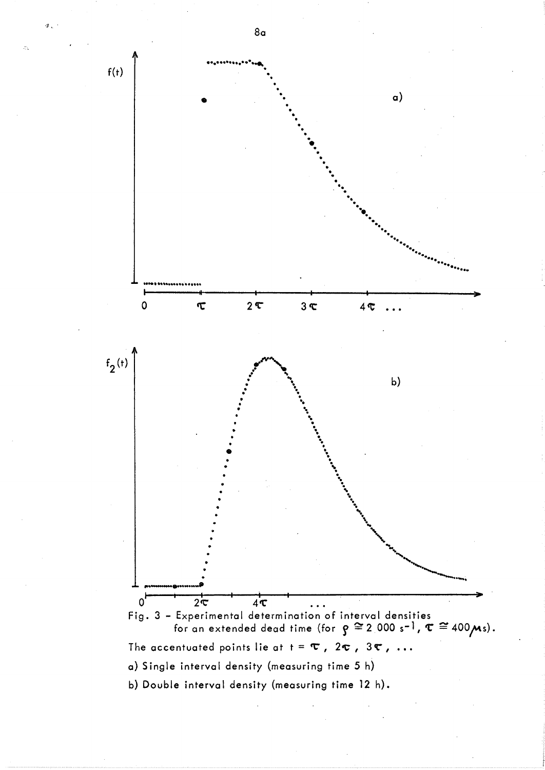

8a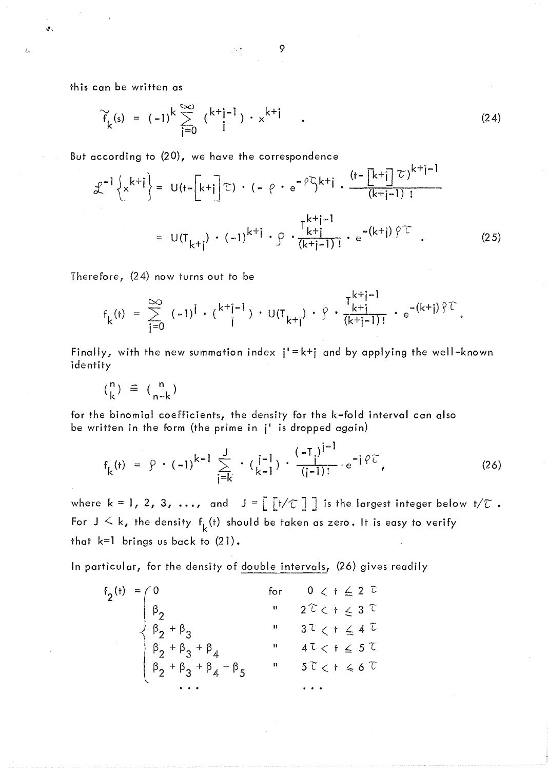9 政权。

this can be written as

1·.

 $\mathcal{A}_{\mathcal{A}}$ 

$$
\widetilde{f}_{k}(s) = (-1)^{k} \sum_{j=0}^{\infty} {k+j-1 \choose j} \cdot x^{k+j} \qquad . \tag{24}
$$

But according to (20), we have the correspondence

$$
\mathcal{L}^{-1}\left\{x^{k+i}\right\} = U\left(t-\left[k+i\right]\right)\mathcal{L}\right\} \cdot (-\rho \cdot e^{-\rho \zeta} k+i \cdot \frac{\left(t-\left[k+i\right]\right)\mathcal{L}\right)^{k+i-1}}{\left(k+i-1\right) \mathcal{L}}
$$
\n
$$
= U\left(T_{k+i}\right) \cdot (-1)^{k+i} \cdot \rho \cdot \frac{T_{k+i-1}^{k+i-1}}{\left(k+i-1\right) \mathcal{L}} \cdot e^{-\left(k+i\right) \mathcal{L}\right)} \tag{25}
$$

Therefore; (24) now turns out to be

$$
f_{k}(t) = \sum_{j=0}^{\infty} (-1)^{j} \cdot {k^{+}j^{-} \choose j} \cdot U(T_{k+j}) \cdot \hat{y} \cdot \frac{T_{k+j-1}^{k+j-1}}{(k+j-1)!} \cdot e^{-(k+j)\hat{y} \hat{y}}.
$$

Finally, with the new summation index  $i' = k+j$  and by applying the well-known identity

$$
\binom{n}{k} \equiv \binom{n}{n-k}
$$

for the binomial coefficients; the density for the k-fold interval can also be written in the form (the prime in j' is dropped again)

$$
f_{k}(t) = \rho \cdot (-1)^{k-1} \sum_{j=k}^{J} \cdot (\frac{j-1}{k-1}) \cdot \frac{(-1)^{j-1}}{(j-1)!} e^{-j\varphi}.
$$
 (26)

 $\sim$  1

where  $k=1, 2, 3, \ldots$ , and  $J=\begin{bmatrix} t/\mathbb{C} \end{bmatrix}$  is the largest integer below  $t/\mathbb{C}$ . For  $J \leq k$ , the density  $f_k(t)$  should be taken as zero. It is easy to verify that k=l brings us back to (21).

In particular, for the density of double intervals, (26) gives readily

$$
f_{2}(t) = \begin{cases} 0 & \text{for } 0 < t \leq 2 \ \mathbb{C} \\ \beta_{2} & \text{if } 2 \mathbb{C} < t \leq 3 \ \mathbb{C} \\ \beta_{2} + \beta_{3} & \text{if } 3 \mathbb{C} < t \leq 4 \ \mathbb{C} \\ \beta_{2} + \beta_{3} + \beta_{4} & \text{if } 4 \mathbb{C} < t \leq 5 \ \mathbb{C} \\ \beta_{2} + \beta_{3} + \beta_{4} + \beta_{5} & \text{if } 5 \mathbb{C} < t \leq 6 \ \mathbb{C} \\ \cdots & \cdots & \cdots \end{cases}
$$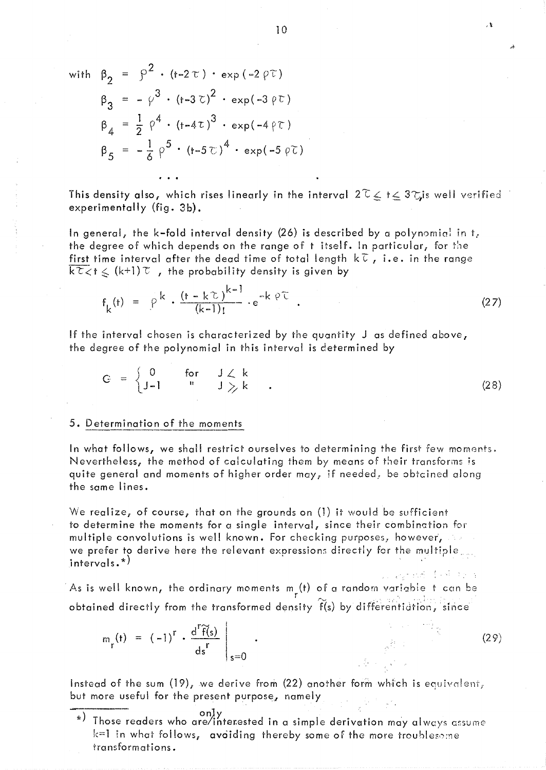with 
$$
\beta_2 = \beta^2 \cdot (t - 2\tau) \cdot \exp(-2\gamma\tau)
$$
  
\n $\beta_3 = -\gamma^3 \cdot (t - 3\tau)^2 \cdot \exp(-3\gamma\tau)$   
\n $\beta_4 = \frac{1}{2} \gamma^4 \cdot (t - 4\tau)^3 \cdot \exp(-4\gamma\tau)$   
\n $\beta_5 = -\frac{1}{6} \gamma^5 \cdot (t - 5\tau)^4 \cdot \exp(-5\gamma\tau)$ 

This density also, which rises linearly in the interval  $2\ell \leq t \leq 3\gamma$  is well verified experimentally (fig. 3b).

In general, the k-fold interval density (26) is described by a polynomial in t, the degree of which depends on the range of t itself. In particular, for the first time interval after the dead time of total length  $k\bar{\mathfrak{c}}$ , i.e. in the range  $k\tau$   $\leq$   $k$   $\leq$   $(k+1)\tau$ , the probability density is given by

$$
f_{k}(t) = \rho^{k} \cdot \frac{(t - k\tau)^{k-1}}{(k-1)!} \cdot e^{-k} \cdot \rho \tau
$$
 (27)

If the interval chosen is characterized by the quantity J as defined above, the degree of the polynomial in this interval is determined by

 $C = \begin{cases} 0 & \text{for} & J \neq k \\ J-1 & \text{if} & J \geq k \end{cases}$ J  $\rangle_{\!\scriptscriptstyle\chi}$  k  $\scriptscriptstyle\chi$ (28)

#### 5. Determination of the moments

In what follows, we shall restrict ourselves to determining the first few moments. Nevertheless, the method of calculating them by means of their transforms is quite general and moments of higher order may, if needed, be obtcined along the same lines.

We realize, of course, that on the grounds on  $(1)$  it would be sufficient to determine the moments for a single interval, since their combination for multiple convolutions is well known. For checking purposes, however,  $\sim$ we prefer to derive here the relevant expressions directly for the multiple. intervals.\*)

As is well known, the ordinary moments  $m_{\rm g}(t)$  of a random variable it can be r obtained directly from the transformed density  $f(s)$  by differentiation, since

$$
m_r(t) = (-1)^r \cdot \frac{d^r \widetilde{f}(s)}{ds^r} \bigg|_{s=0} \qquad (29)
$$

Instead of the sum  $(19)$ , we derive from  $(22)$  another form which is equivalent, but more useful for the present purpose, namely

-:)~~~~:-~eaders who aroe~~ter.ested in a simple derivCltlon may alw0.}'5 a~sume  $k=1$  in what follows, avoiding thereby some of the more troublesome transformations.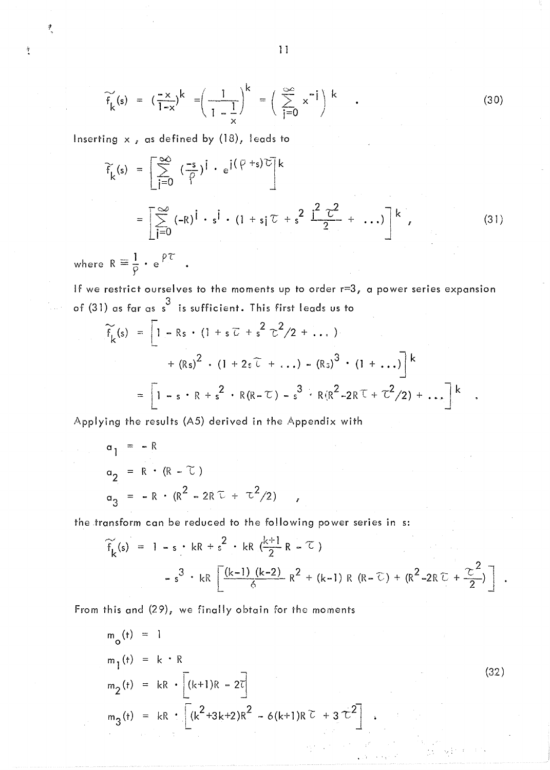$$
\widetilde{f}_{k}(s) = \left(\frac{-x}{1-x}\right)^{k} = \left(\frac{1}{1-\frac{1}{x}}\right)^{k} = \left(\sum_{j=0}^{\infty} x^{-j}\right)^{k} \quad . \tag{30}
$$

Inserting x, as defined by (18), leads to

$$
\widetilde{f}_{k}(s) = \left[ \sum_{j=0}^{\infty} \left( \frac{-s}{\rho} \right)^{j} \cdot e^{j(\rho+s)\overline{C}} \right]^{k}
$$
\n
$$
= \left[ \sum_{j=0}^{\infty} (-R)^{j} \cdot s^{j} \cdot (1+s_{j}\overline{C} + s^{2} \frac{1^{2} \overline{C}^{2}}{2} + \dots) \right]^{k}, \tag{31}
$$

where  $R = \frac{1}{\sigma} \cdot e^{\beta \mathcal{T}}$ 

 $\frac{1}{2}$ 

If we restrict ourselves to the moments up to order r=3, a power series expansion of (31) as far as  $\frac{3}{\text{s}}$  is sufficient. This first leads us to

$$
\widetilde{f}_{k}(s) = \left[1 - Rs \cdot (1 + s \overline{\mathcal{L}} + s^{2} \overline{\mathcal{L}}^{2}/2 + ...) + (Rs)^{2} \cdot (1 + 2s \overline{\mathcal{L}} + ...) - (Rs)^{3} \cdot (1 + ...)\right]^{k}
$$
\n
$$
= \left[1 - s \cdot R + s^{2} \cdot R(R - \mathcal{L}) - s^{3} \cdot R(R^{2} - 2R\mathcal{L} + \mathcal{L}^{2}/2) + ... \right]^{k}
$$

Applying the results (A5) derived in the Appendix with

$$
\alpha_1 = -R
$$
  
\n
$$
\alpha_2 = R \cdot (R - \tau)
$$
  
\n
$$
\alpha_3 = -R \cdot (R^2 - 2R \tau + \tau^2/2)
$$

the transform can be reduced to the following power series in s:

$$
\widetilde{f_k}(s) = 1 - s \cdot kR + s^2 \cdot kR \left(\frac{k+1}{2}R - \tau\right)
$$
  
- s<sup>3</sup> \cdot kR \left[ \frac{(k-1) (k-2)}{6} R^2 + (k-1) R (R - \tau) + (R^2 - 2R \tau + \frac{\tau^2}{2}) \right]

From this and (29), we finally obtain for the moments

$$
m_0(t) = 1
$$
  
\n
$$
m_1(t) = k \cdot R
$$
  
\n
$$
m_2(t) = kR \cdot [(k+1)R - 2\overline{t}]
$$
  
\n
$$
m_3(t) = kR \cdot [(k^2+3k+2)R^2 - 6(k+1)R\overline{t} + 3\overline{t}^2].
$$
\n(32)

anan<br>Sababara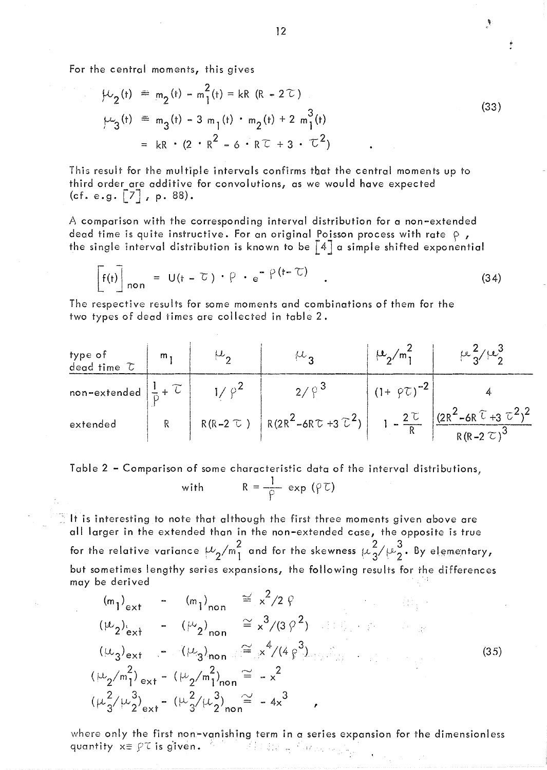For the central moments, this gives

$$
\mu_2(t) = m_2(t) - m_1^2(t) = kR (R - 2\tau)
$$
  
\n
$$
\mu_3(t) = m_3(t) - 3 m_1(t) \cdot m_2(t) + 2 m_1^3(t)
$$
  
\n
$$
= kR \cdot (2 \cdot R^2 - 6 \cdot R \tau + 3 \cdot \tau^2)
$$
 (33)

This result for the multiple intervals confirms tbat the central moments up to third order are additive for convolutions, as we would have expected (cf. e.g.  $\begin{bmatrix} 7 \\ 7 \end{bmatrix}$ , p. 88).

A comparison with the corresponding interval distribution for a non-extended dead time is quite instructive. For an original Poisson process with rate  $\rho$ , the single interval distribution is known to be  $\lceil 4 \rceil$  a simple shifted exponential

$$
\mathbf{F}(t) \bigg]_{\text{non}} = U(t - \tau) \cdot \rho \cdot e^{-\rho(t - \tau)} \qquad (34)
$$

The respective results for some moments and combinations of them for the two types of dead times are collected in table 2.

type of  
\ndead time 
$$
\tau
$$
  
\nnon-extended  
\n $\frac{1}{p} + \tau$   
\n $1/\rho^2$   
\n $2/\rho^3$   
\n $2/\rho^3$   
\n $(1 + \rho\tau)^{-2}$   
\n $1 - \frac{2\tau}{R}$   
\n $(2R^2 - 6R\tau + 3\tau^2)$   
\n $1 - \frac{2\tau}{R}$   
\n $(2R^2 - 6R\tau + 3\tau^2)^2$   
\n $1 - \frac{2\tau}{R}$   
\n $(2R^2 - 6R\tau + 3\tau^2)^2$   
\n $1 - \frac{2\tau}{R}$   
\n $(2R^2 - 6R\tau + 3\tau^2)^2$ 

Table 2 - Comparison of some characteristic data of the interval distributions;

with 
$$
R = \frac{1}{\rho} \exp(\rho \tau)
$$

 $\mathbb T$  It is interesting to note that although the first three moments given above are all larger in the extended than in the non-extended case, the opposite is true for the relative variance  $\mu_2/m_1^2$  and for the skewness  $\mu_3^2/\mu_2^3$ . By elementary, but sometimes lengthy series expansions, the following results for the differences may be derived

$$
(m_1)_{ext} - (m_1)_{non} \le x^2/2 \varphi
$$
  
\n
$$
(w_2)_{ext} - (w_2)_{non} \le x^3/(3 \varphi^2)
$$
  
\n
$$
(w_3)_{ext} - (w_3)_{non} \le x^4/(4 \varphi^3)
$$
  
\n
$$
(w_2/m_1^2)_{ext} - (w_2/m_1^2)_{non} \le -x^2
$$
  
\n
$$
(w_3^2/w_2^3)_{ext} - (w_3^2/w_2^3)_{non} \le -4x^3
$$
 (35)

where only the first non-vanishing term in a series expansion for the dimensionless quantity  $x \equiv \rho \tau$  is given. quantity  $x \equiv \varphi \tau$  is given.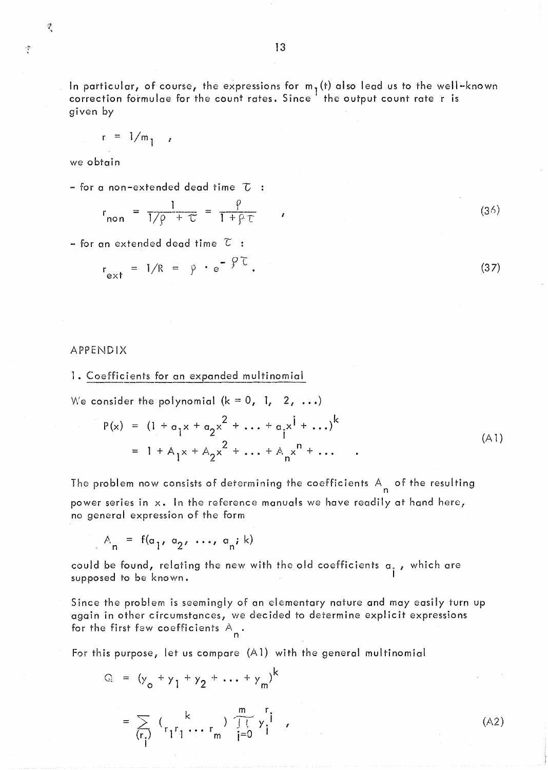空

In particular**,** of course, the expressions for m<sub>1</sub>(t) also lead us to the well–known<br>correction formulae for the count rates. Since the output count rate r is given by

$$
r = 1/m_1
$$

we obtain

 $-$  for a non-extended dead time  $\tau$  :

$$
r_{\text{non}} = \frac{1}{1/\rho + \tau} = \frac{\rho}{1 + \rho \tau} \tag{36}
$$

- for an extended dead time  $\widetilde{\mathcal{L}}$  :

$$
r_{ext} = 1/R = \rho \cdot e^{-\beta \tau}.
$$
 (37)

## APPENDIX

1. Coefficients for an expanded multinomial

We consider the polynomial  $(k = 0, 1, 2, ...)$ 

$$
P(x) = (1 + a_1 x + a_2 x^2 + \dots + a_j x^j + \dots)^k
$$
  
= 1 + A\_1 x + A\_2 x^2 + \dots + A\_n x^n + \dots (A1)

The problem now consists of determining the coefficients  $A_n$  of the resulting power series in x. In the reference manuals we have readily at hand here, no general expression of the form

$$
A_n = f(a_1, a_2, \ldots, a_n; k)
$$

could be found, relating the new with the old coefficients  $a_i$  , which are supposed to be known.

Since the problem is seemingly of an elementary nature and may easily turn up again in other circumstances, we decided to determine explicit expressions for the first few coefficients  $A_{\mathbf{n}}^{\dagger}$  .

For this purpose, let us compare (A 1) with the general multinomial

$$
Q = (y_o + y_1 + y_2 + \dots + y_m)^{k}
$$
  
=  $\sum_{(r_i)} (y_{r_1} + y_{r_2} + \dots + y_{r_m}) \underbrace{\prod_{j=0}^{m} y_j^{r_j}}_{j=0}$ 

 $\sim$  (A2)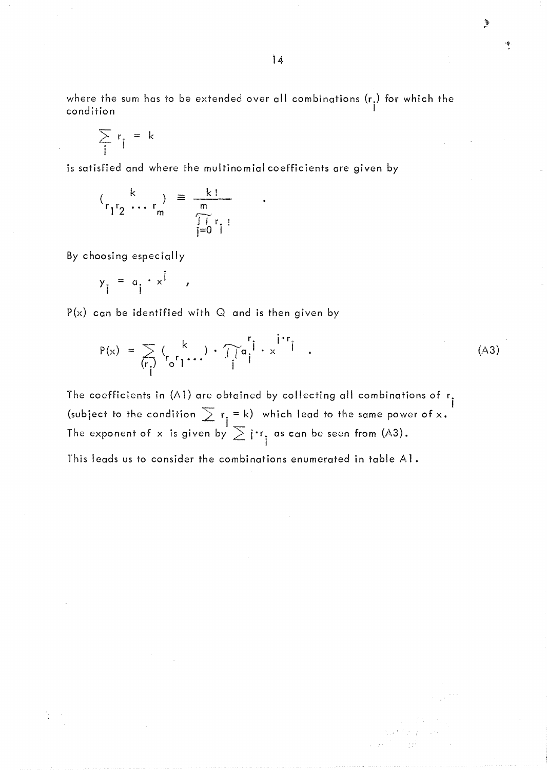where the sum has to be extended over all combinations (r.) for which the condition I

$$
\sum_i r_i = k
$$

is satisfied and where the multinomial coefficients are given by

$$
\binom{k}{r_1 r_2 \cdots r_m} \equiv \frac{k!}{\prod_{\substack{m\\j=0 \ 1}}^m r_j!}
$$

By choosing especially

$$
y_i = a_i \cdot x^i ,
$$

 $P(x)$  can be identified with Q and is then given by

$$
P(x) = \sum_{\begin{subarray}{c}r\\r\end{subarray}} {k \choose r_0 r_1 \cdots} \cdot \overline{\int_{i}^{r} a_i}^r \cdot x^{i+r} i \quad . \tag{A3}
$$

The coefficients in (A1) are obtained by collecting all combinations of  $r_i$ (subject to the condition  $\sum_{i} r_i = k$ ) which lead to the same power of x. I The exponent of x is given by  $\sum i \cdot r_i$  as can be seen from (A3).

This leads us to consider the combinations enumerated in table  $AI$ .

D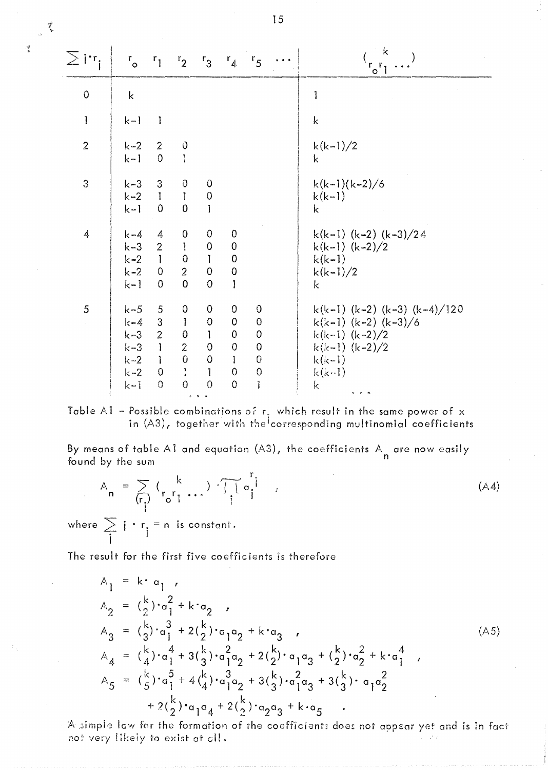| $\sum \mathbf{i}^{\boldsymbol{\cdot} \mathbf{r}}$ i | $r_{\circ}$                                                           | $r_1$                                                                                    | r <sub>2</sub>                                                                                          | r <sub>3</sub>                                                                                                | $r_{4}$                                                                                                | $r_{5}$                                                                            | $\rightarrow$ $\rightarrow$ $\rightarrow$ | k<br>$r_o r_l$                                                                                                                |
|-----------------------------------------------------|-----------------------------------------------------------------------|------------------------------------------------------------------------------------------|---------------------------------------------------------------------------------------------------------|---------------------------------------------------------------------------------------------------------------|--------------------------------------------------------------------------------------------------------|------------------------------------------------------------------------------------|-------------------------------------------|-------------------------------------------------------------------------------------------------------------------------------|
| $\circ$                                             | $\mathsf k$                                                           |                                                                                          |                                                                                                         |                                                                                                               |                                                                                                        |                                                                                    |                                           | 1                                                                                                                             |
| Ţ                                                   | $k-1$                                                                 | 1                                                                                        |                                                                                                         |                                                                                                               |                                                                                                        |                                                                                    |                                           | $\mathbf k$                                                                                                                   |
| $\overline{2}$                                      | $k-2$<br>$k-1$                                                        | $\overline{2}$<br>$\overline{0}$                                                         | $\frac{0}{1}$                                                                                           |                                                                                                               |                                                                                                        |                                                                                    |                                           | $k(k-1)/2$<br>k                                                                                                               |
| 3                                                   | $k - 3$<br>$k = 2$<br>$k-1$                                           | 3 <sup>1</sup><br>$\blacksquare$<br>$\mathbf 0$                                          | $\boldsymbol{0}$<br>$\mathbf{I}$<br>$\pmb{0}$                                                           | $\hat{O}$<br>$\mathbf 0$<br>$\mathbf{I}$                                                                      |                                                                                                        |                                                                                    |                                           | $k(k-1)(k-2)/6$<br>$k(k-1)$<br>k                                                                                              |
| 4                                                   | $k - 4$<br>$k = 3$<br>$k = 2$<br>$k-2$ 0<br>$k-1$                     | 4<br>$\overline{2}$<br>$\sim 1$<br>$\overline{0}$                                        | $\boldsymbol{0}$<br>$\mathbf{l}$<br>$\pmb{\mathrm{O}}$<br>$\overline{2}$<br>$\overline{0}$              | $\mathbf 0$<br>$\pmb{0}$<br>$\mathbf{I}$<br>$\mathbf 0$<br>$\Omega$                                           | $\boldsymbol{0}$<br>$\overline{0}$<br>${\bf 0}$<br>$\pmb{0}$<br>1                                      |                                                                                    |                                           | k(k-1) (k-2) (k-3)/24<br>k(k-1) $(k-2)/2$<br>$k(k-1)$<br>$k(k-1)/2$<br>k                                                      |
| 5                                                   | $k - 5$<br>$k-4$<br>$k = 3$<br>$k-3$<br>$k = 2$<br>$k = 2$<br>$k - 1$ | 5<br>3<br>$\overline{2}$<br>$\mathbb{R}$<br>$\mathbb{R}$<br>$\boldsymbol{0}$<br>$\Omega$ | $\overline{0}$<br>$\mathbf{I}$<br>$\pmb{0}$<br>$\overline{2}$<br>$\pmb 0$<br>$\frac{1}{4}$<br>$\bullet$ | $\mathbf{0}$<br>$\pmb{0}$<br>$\mathbf{1}$<br>$\mathbf{0}$<br>$\mathbf{0}$<br>$\mathbf{I}$<br>$\boldsymbol{0}$ | $\overline{0}$<br>$\mathbf{0}$<br>$\bf{0}$<br>$\mbox{O}$<br>$\mathbf{I}$<br>$\Omega$<br>$\overline{0}$ | 0<br>$\mathbf 0$<br>$\boldsymbol{0}$<br>$\bf{0}$<br>$\mathbf 0$<br>$\bigcirc$<br>l |                                           | k(k-1) (k-2) (k-3) (k-4)/120<br>k(k-1) (k-2) (k-3)/6<br>$k(k-1)$ $(k-2)/2$<br>$k(k-1)$ $(k-2)/2$<br>$k(k-1)$<br>$k(k-1)$<br>k |

Table A1 - Possible combinations of r. which result in the same power of x in  $(A3)_r$  together with the corresponding multinomial coefficients

By means of table A1 and equation (A3), the coefficients  $A\!$  are now easily  $f_{\rm sound}$  by the sum found by the sum

$$
A_n = \sum_{\{r_i\}} {k \choose r_i r_1 \cdots} \cdot \prod_{i=1}^{r} a_i
$$
\nwhere  $\sum_{i} i \cdot r_i = n$  is constant. (A4)

The result for the first five coefficients is therefore

$$
A_{1} = k \cdot a_{1} ,
$$
\n
$$
A_{2} = {k \choose 2} \cdot a_{1}^{2} + k \cdot a_{2} ,
$$
\n
$$
A_{3} = {k \choose 3} \cdot a_{1}^{3} + 2 {k \choose 2} \cdot a_{1} a_{2} + k \cdot a_{3} ,
$$
\n
$$
A_{4} = {k \choose 4} \cdot a_{1}^{4} + 3 {k \choose 3} \cdot a_{1}^{2} a_{2} + 2 {k \choose 2} \cdot a_{1} a_{3} + {k \choose 2} \cdot a_{2}^{2} + k \cdot a_{1}^{4} ,
$$
\n
$$
A_{5} = {k \choose 5} \cdot a_{1}^{5} + 4 {k \choose 4} \cdot a_{1}^{3} a_{2} + 3 {k \choose 3} \cdot a_{1}^{2} a_{3} + 3 {k \choose 3} \cdot a_{1} a_{2}^{2} + 2 {k \choose 2} \cdot a_{1} a_{4} + 2 {k \choose 2} \cdot a_{2} a_{3} + k \cdot a_{5} .
$$
\n(A5)

A simple law for the formation of the coefficients does not appear yet and is in fact not very likely to exist at cll.

15

*rj*  !".

f l<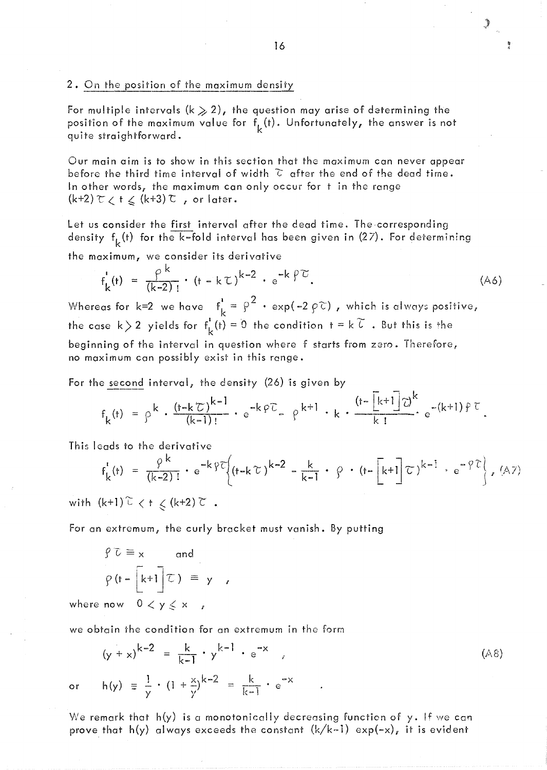### 2. On the position of the maximum density

For multiple intervals (k  $\geqslant 2$ ), the question may arise of determining the position of the maximum value for  $f_k(t)$ . Unfortunately, the answer is not quite straightforward.

Our main aim is to show in this section that the maximum can never appear before the third time interval of width  $\tilde{c}$  after the end of the dead time. In other words, the maximum can only occur for t in the range  $(k+2)$   $\tau$   $\zeta$   $\uparrow$   $\zeta$   $(k+3)$   $\tau$  , or later.

Let us consider the first interval after the dead time. The corresponding density  $f_k(t)$  for the k-fold interval has been given in (27). For determining

the maximum, we consider its derivative

$$
f_{k}^{(t)} = \frac{\rho^{k}}{(k-2)!} \cdot (t - k\tau)^{k-2} \cdot e^{-k\beta \tau}.
$$
 (A6)

Whereas for k=2 we have  $f_k^i = \rho^2 \cdot \exp(-2 \rho \tilde{c})$ , which is always positive, the case  $k > 2$  yields for  $f_L^1(t) = 0$  the condition  $t = k \; \tilde{l}$  . But this is the beginning of the interval in question where f starts from zero. Therefore, no maximum Can possibly exist in this range.

For the second interval, the density  $(26)$  is given by

$$
f_k(t) = \rho^k \cdot \frac{(t - k\tau)^{k-1}}{(k-1)!} \cdot e^{-k\varphi\tau} - \rho^{k+1} \cdot k \cdot \frac{(t - \lfloor k+1 \rfloor \tau)^k}{k!} e^{-(k+1)\varphi\tau}
$$

This IGads to the derivative

$$
f_{k}^{1}(t) = \frac{\varphi^{k}}{(k-2)!} \cdot e^{-k\varphi^{2}} \left\{ \left(t - k\tau\right)^{k-2} - \frac{k}{k-1} \cdot \varphi \cdot \left(t - \left[k+1\right]\tau\right)^{k-1} \cdot e^{-\varphi^{2}} \right\}, (A7)
$$
\n
$$
(k+1)\tilde{L} \leq k \leq (k+2)\tilde{L}
$$

with  $(k+1)\stackrel{\sim}{\leftarrow}$   $\langle$  t  $\leq$   $(k+2)\stackrel{\sim}{\leftarrow}$ .

For an extremum, the curly bracket must vanish. By putting

$$
\varphi \overline{c} \equiv x \quad \text{and}
$$
\n
$$
\varphi \left( t - \left[ k + 1 \right] \overline{c} \right) \equiv y ,
$$
\nwhere now  $0 < y \leq x ,$ 

Y }'

we obtain rhe condition for an extremum in the form

$$
(y + x)^{k-2} = \frac{k}{k-1} \cdot y^{k-1} \cdot e^{-x}
$$
  
\n
$$
h(y) = \frac{1}{2} \cdot (1 + \frac{x}{2})^{k-2} = \frac{k}{k-1} \cdot e^{-x}
$$
 (A8)

or

We remark that h(y) is a monotonically decreasing function of y. If we can prove that h(y) always exceeds the constant  $(k/k-1)$  exp(-x), it is evident

3

Ã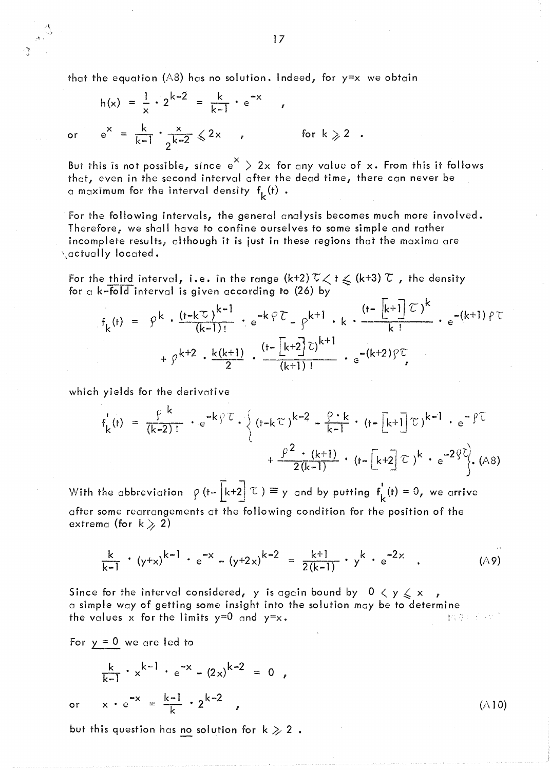that the equation (A8) has no solution. Indeed, for  $y=x$  we obtain

$$
h(x) = \frac{1}{x} \cdot 2^{k-2} = \frac{k}{k-1} \cdot e^{-x}
$$
\n
$$
e^{x} = \frac{k}{k-1} \cdot \frac{x}{2^{k-2}} \leq 2x
$$
\nfor  $k \geq 2$ .

or

But this is not possible, since  $e^X > 2x$  for any value of x. From this it follows that, even in the second interval after the dead time, there can never be a maximum for the interval density  $f_k(t)$  .

For the following intervals, the general analysis becomes much more involved, Therefore; we shall have to confine ourselves to some simple and rather incomplete results, although it is just in these regions that the maxima are  $\setminus$ actually located.

For the third interval, i.e. in the range  $(k+2)$   $\widetilde{\vee}$   $\lt$  t  $\leq$   $(k+3)$   $\widetilde{\vee}$  , the density for a k-fold interval is given according to  $(26)$  by

$$
f_{k}(t) = \rho^{k} \cdot \frac{(t-k\tau)^{k-1}}{(k-1)!} \cdot e^{-k\varphi \tau} - \rho^{k+1} \cdot k \cdot \frac{(t-\lfloor k+1 \rfloor \tau)^{k}}{k!} \cdot e^{-(k+1)\varphi \tau} + \rho^{k+2} \cdot \frac{k(k+1)}{2} \cdot \frac{(t-\lfloor k+2 \rfloor \tau)^{k+1}}{(k+1)!} \cdot e^{-(k+2)\varphi \tau}
$$

which yields for the derivative

$$
f_{k}^{(t)} = \frac{\rho^{k}}{(k-2)!} \cdot e^{-k \rho^{2} \tau} \cdot \left\{ (t-k \tau)^{k-2} - \frac{\rho \cdot k}{k-1} \cdot (t - [k+1] \tau)^{k-1} \cdot e^{-\rho^{2} \tau} + \frac{\rho^{2} \cdot (k+1)}{2(k-1)} \cdot (t - [k+2] \tau)^{k} \cdot e^{-2\phi^{2}} \right\}.
$$
 (A8)

With the abbreviation  $\rho$  (t–  $\bar{k}$ +2 $\bar{l}$   $\tau$  )  $\equiv$  y and by putting  $f^{\dagger}_{\bar{k}}$ (t) = 0, we arrive after some rearrangements at the following condition for the position of the extrema (for  $k \ge 2$ )

$$
\frac{k}{k-1} \cdot (y+x)^{k-1} \cdot e^{-x} - (y+2x)^{k-2} = \frac{k+1}{2(k-1)} \cdot y^{k} \cdot e^{-2x} . \tag{A9}
$$

Since for the interval considered, y is again bound by  $0 \lt y \leq x$ a simple way of getting some insight into the solution may be to determine the values  $x$  for the limits  $y=0$  and  $y=x$ . The contract of the state  $x \in \mathbb{R}$  is the state  $x \in \mathbb{R}$ 

For  $y = 0$  we are led to

or

$$
\frac{k}{k-1} \cdot x^{k-1} \cdot e^{-x} - (2x)^{k-2} = 0,
$$
  

$$
x \cdot e^{-x} = \frac{k-1}{k} \cdot 2^{k-2},
$$

but this question has no solution for k  $\gg 2$   $\,.$ 

 $\sim$  17

 $(A10)$